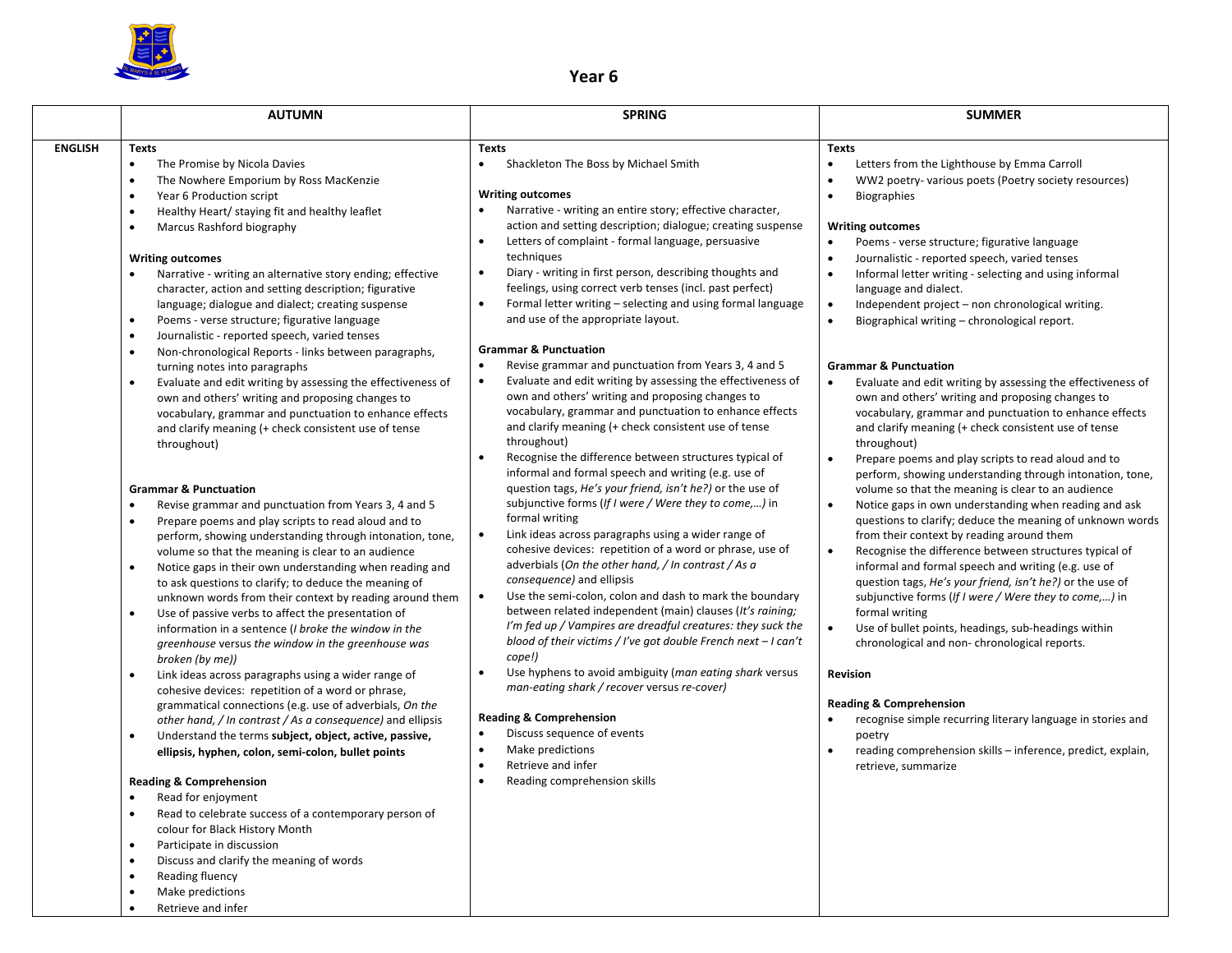

## **Year 6**

|                | <b>AUTUMN</b>                                                                                                                                                                                                                                                                                                                                                                                                                                                                                                                                                                                                                                                                                                                                                                                                                                                                                                                                                                                                                                                                                                                                                                                                                                                                                                                                                                                                                                                                                                                                                                                                                       | <b>SPRING</b>                                                                                                                                                                                                                                                                                                                                                                                                                                                                                                                                                                                                                                                                                                                                                                                                                                                                                                                                                                                                                                                                                                                                                                                                                                                                                                                                                                                                                                                 | <b>SUMMER</b>                                                                                                                                                                                                                                                                                                                                                                                                                                                                                                                                                                                                                                                                                                                                                                                                                                                                                                                                                                                                                                                                                                                                                                                                                                                                                   |
|----------------|-------------------------------------------------------------------------------------------------------------------------------------------------------------------------------------------------------------------------------------------------------------------------------------------------------------------------------------------------------------------------------------------------------------------------------------------------------------------------------------------------------------------------------------------------------------------------------------------------------------------------------------------------------------------------------------------------------------------------------------------------------------------------------------------------------------------------------------------------------------------------------------------------------------------------------------------------------------------------------------------------------------------------------------------------------------------------------------------------------------------------------------------------------------------------------------------------------------------------------------------------------------------------------------------------------------------------------------------------------------------------------------------------------------------------------------------------------------------------------------------------------------------------------------------------------------------------------------------------------------------------------------|---------------------------------------------------------------------------------------------------------------------------------------------------------------------------------------------------------------------------------------------------------------------------------------------------------------------------------------------------------------------------------------------------------------------------------------------------------------------------------------------------------------------------------------------------------------------------------------------------------------------------------------------------------------------------------------------------------------------------------------------------------------------------------------------------------------------------------------------------------------------------------------------------------------------------------------------------------------------------------------------------------------------------------------------------------------------------------------------------------------------------------------------------------------------------------------------------------------------------------------------------------------------------------------------------------------------------------------------------------------------------------------------------------------------------------------------------------------|-------------------------------------------------------------------------------------------------------------------------------------------------------------------------------------------------------------------------------------------------------------------------------------------------------------------------------------------------------------------------------------------------------------------------------------------------------------------------------------------------------------------------------------------------------------------------------------------------------------------------------------------------------------------------------------------------------------------------------------------------------------------------------------------------------------------------------------------------------------------------------------------------------------------------------------------------------------------------------------------------------------------------------------------------------------------------------------------------------------------------------------------------------------------------------------------------------------------------------------------------------------------------------------------------|
|                |                                                                                                                                                                                                                                                                                                                                                                                                                                                                                                                                                                                                                                                                                                                                                                                                                                                                                                                                                                                                                                                                                                                                                                                                                                                                                                                                                                                                                                                                                                                                                                                                                                     |                                                                                                                                                                                                                                                                                                                                                                                                                                                                                                                                                                                                                                                                                                                                                                                                                                                                                                                                                                                                                                                                                                                                                                                                                                                                                                                                                                                                                                                               |                                                                                                                                                                                                                                                                                                                                                                                                                                                                                                                                                                                                                                                                                                                                                                                                                                                                                                                                                                                                                                                                                                                                                                                                                                                                                                 |
| <b>ENGLISH</b> | <b>Texts</b><br>$\bullet$<br>The Promise by Nicola Davies<br>The Nowhere Emporium by Ross MacKenzie<br>$\bullet$<br>Year 6 Production script<br>$\bullet$<br>Healthy Heart/ staying fit and healthy leaflet<br>$\bullet$<br>Marcus Rashford biography<br>$\bullet$<br><b>Writing outcomes</b><br>Narrative - writing an alternative story ending; effective<br>character, action and setting description; figurative<br>language; dialogue and dialect; creating suspense<br>Poems - verse structure; figurative language<br>$\bullet$<br>Journalistic - reported speech, varied tenses<br>$\bullet$                                                                                                                                                                                                                                                                                                                                                                                                                                                                                                                                                                                                                                                                                                                                                                                                                                                                                                                                                                                                                                | <b>Texts</b><br>Shackleton The Boss by Michael Smith<br>$\bullet$<br><b>Writing outcomes</b><br>Narrative - writing an entire story; effective character,<br>action and setting description; dialogue; creating suspense<br>Letters of complaint - formal language, persuasive<br>$\bullet$<br>techniques<br>Diary - writing in first person, describing thoughts and<br>$\bullet$<br>feelings, using correct verb tenses (incl. past perfect)<br>Formal letter writing - selecting and using formal language<br>$\bullet$<br>and use of the appropriate layout.                                                                                                                                                                                                                                                                                                                                                                                                                                                                                                                                                                                                                                                                                                                                                                                                                                                                                              | <b>Texts</b><br>$\bullet$<br>Letters from the Lighthouse by Emma Carroll<br>WW2 poetry- various poets (Poetry society resources)<br>$\bullet$<br><b>Biographies</b><br>$\bullet$<br><b>Writing outcomes</b><br>Poems - verse structure; figurative language<br>$\bullet$<br>Journalistic - reported speech, varied tenses<br>$\bullet$<br>Informal letter writing - selecting and using informal<br>language and dialect.<br>Independent project - non chronological writing.<br>$\bullet$<br>Biographical writing - chronological report.<br>$\bullet$                                                                                                                                                                                                                                                                                                                                                                                                                                                                                                                                                                                                                                                                                                                                         |
|                | Non-chronological Reports - links between paragraphs,<br>$\bullet$<br>turning notes into paragraphs<br>Evaluate and edit writing by assessing the effectiveness of<br>$\bullet$<br>own and others' writing and proposing changes to<br>vocabulary, grammar and punctuation to enhance effects<br>and clarify meaning (+ check consistent use of tense<br>throughout)<br><b>Grammar &amp; Punctuation</b><br>$\bullet$<br>Revise grammar and punctuation from Years 3, 4 and 5<br>Prepare poems and play scripts to read aloud and to<br>$\bullet$<br>perform, showing understanding through intonation, tone,<br>volume so that the meaning is clear to an audience<br>Notice gaps in their own understanding when reading and<br>$\bullet$<br>to ask questions to clarify; to deduce the meaning of<br>unknown words from their context by reading around them<br>Use of passive verbs to affect the presentation of<br>$\bullet$<br>information in a sentence (I broke the window in the<br>greenhouse versus the window in the greenhouse was<br>broken (by me))<br>Link ideas across paragraphs using a wider range of<br>$\bullet$<br>cohesive devices: repetition of a word or phrase,<br>grammatical connections (e.g. use of adverbials, On the<br>other hand, / In contrast / As a consequence) and ellipsis<br>Understand the terms subject, object, active, passive,<br>$\bullet$<br>ellipsis, hyphen, colon, semi-colon, bullet points<br><b>Reading &amp; Comprehension</b><br>$\bullet$<br>Read for enjoyment<br>Read to celebrate success of a contemporary person of<br>$\bullet$<br>colour for Black History Month | <b>Grammar &amp; Punctuation</b><br>Revise grammar and punctuation from Years 3, 4 and 5<br>Evaluate and edit writing by assessing the effectiveness of<br>$\bullet$<br>own and others' writing and proposing changes to<br>vocabulary, grammar and punctuation to enhance effects<br>and clarify meaning (+ check consistent use of tense<br>throughout)<br>Recognise the difference between structures typical of<br>$\bullet$<br>informal and formal speech and writing (e.g. use of<br>question tags, He's your friend, isn't he?) or the use of<br>subjunctive forms (If I were / Were they to come,) in<br>formal writing<br>Link ideas across paragraphs using a wider range of<br>$\bullet$<br>cohesive devices: repetition of a word or phrase, use of<br>adverbials (On the other hand, / In contrast / As a<br>consequence) and ellipsis<br>Use the semi-colon, colon and dash to mark the boundary<br>$\bullet$<br>between related independent (main) clauses (It's raining;<br>I'm fed up / Vampires are dreadful creatures: they suck the<br>blood of their victims / I've got double French next $-1$ can't<br>cope!)<br>Use hyphens to avoid ambiguity (man eating shark versus<br>$\bullet$<br>man-eating shark / recover versus re-cover)<br><b>Reading &amp; Comprehension</b><br>$\bullet$<br>Discuss sequence of events<br>Make predictions<br>$\bullet$<br>Retrieve and infer<br>$\bullet$<br>Reading comprehension skills<br>$\bullet$ | <b>Grammar &amp; Punctuation</b><br>Evaluate and edit writing by assessing the effectiveness of<br>$\bullet$<br>own and others' writing and proposing changes to<br>vocabulary, grammar and punctuation to enhance effects<br>and clarify meaning (+ check consistent use of tense<br>throughout)<br>Prepare poems and play scripts to read aloud and to<br>$\bullet$<br>perform, showing understanding through intonation, tone,<br>volume so that the meaning is clear to an audience<br>$\bullet$<br>Notice gaps in own understanding when reading and ask<br>questions to clarify; deduce the meaning of unknown words<br>from their context by reading around them<br>Recognise the difference between structures typical of<br>$\bullet$<br>informal and formal speech and writing (e.g. use of<br>question tags, He's your friend, isn't he?) or the use of<br>subjunctive forms (If I were / Were they to come,) in<br>formal writing<br>Use of bullet points, headings, sub-headings within<br>$\bullet$<br>chronological and non-chronological reports.<br>Revision<br><b>Reading &amp; Comprehension</b><br>recognise simple recurring literary language in stories and<br>poetry<br>reading comprehension skills - inference, predict, explain,<br>$\bullet$<br>retrieve, summarize |
|                | Participate in discussion<br>$\bullet$<br>Discuss and clarify the meaning of words<br>Reading fluency<br>Make predictions<br>$\bullet$                                                                                                                                                                                                                                                                                                                                                                                                                                                                                                                                                                                                                                                                                                                                                                                                                                                                                                                                                                                                                                                                                                                                                                                                                                                                                                                                                                                                                                                                                              |                                                                                                                                                                                                                                                                                                                                                                                                                                                                                                                                                                                                                                                                                                                                                                                                                                                                                                                                                                                                                                                                                                                                                                                                                                                                                                                                                                                                                                                               |                                                                                                                                                                                                                                                                                                                                                                                                                                                                                                                                                                                                                                                                                                                                                                                                                                                                                                                                                                                                                                                                                                                                                                                                                                                                                                 |

• Retrieve and infer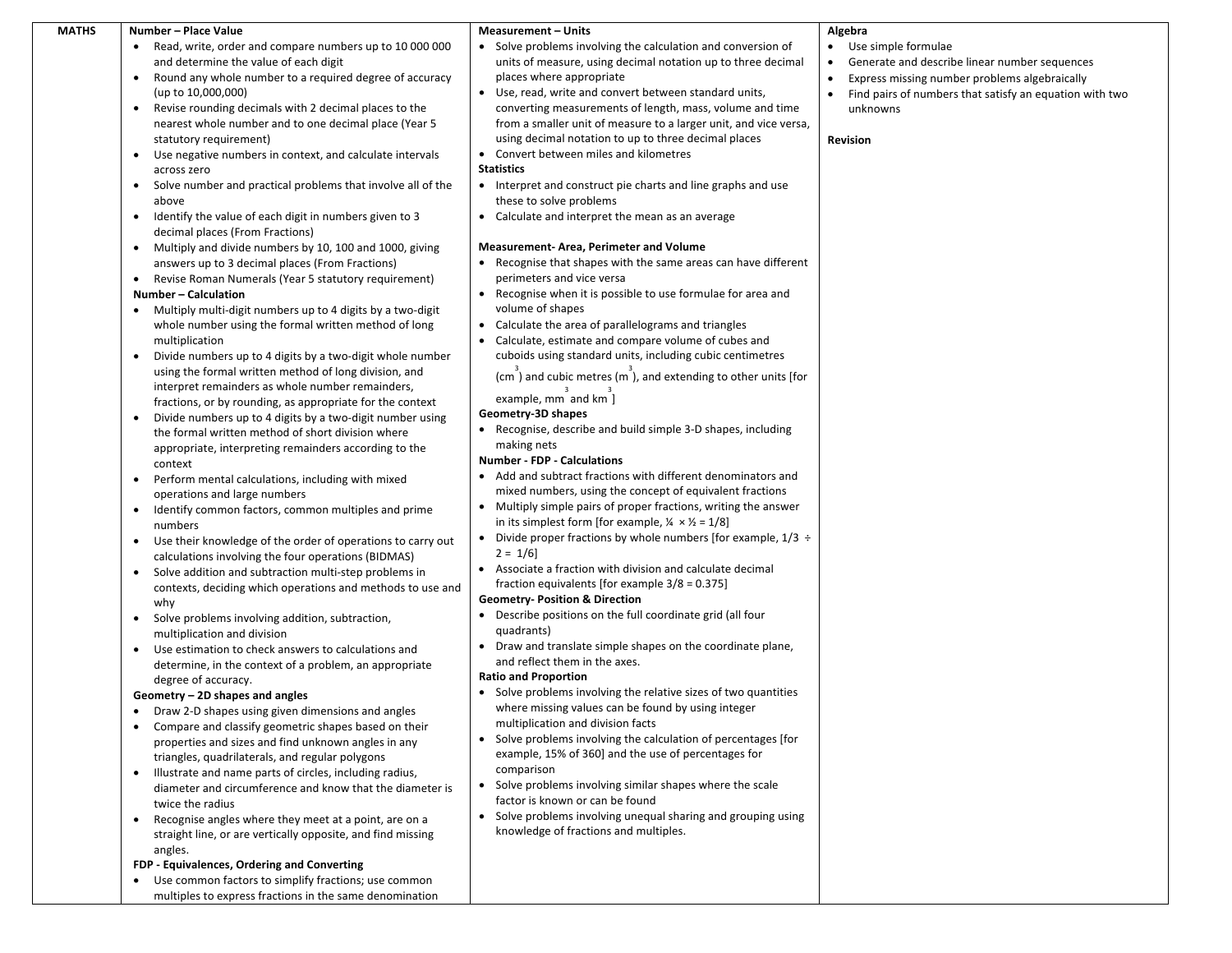| <b>MATHS</b> | Number - Place Value                                                                                       | <b>Measurement - Units</b>                                                                           | Algebra                                                              |
|--------------|------------------------------------------------------------------------------------------------------------|------------------------------------------------------------------------------------------------------|----------------------------------------------------------------------|
|              | Read, write, order and compare numbers up to 10 000 000<br>$\bullet$                                       | • Solve problems involving the calculation and conversion of                                         | Use simple formulae<br>$\bullet$                                     |
|              | and determine the value of each digit                                                                      | units of measure, using decimal notation up to three decimal                                         | Generate and describe linear number sequences<br>$\bullet$           |
|              | Round any whole number to a required degree of accuracy<br>$\bullet$                                       | places where appropriate                                                                             | Express missing number problems algebraically                        |
|              | (up to 10,000,000)                                                                                         | • Use, read, write and convert between standard units,                                               | Find pairs of numbers that satisfy an equation with two<br>$\bullet$ |
|              | Revise rounding decimals with 2 decimal places to the                                                      | converting measurements of length, mass, volume and time                                             | unknowns                                                             |
|              | nearest whole number and to one decimal place (Year 5                                                      | from a smaller unit of measure to a larger unit, and vice versa,                                     |                                                                      |
|              | statutory requirement)                                                                                     | using decimal notation to up to three decimal places                                                 | <b>Revision</b>                                                      |
|              | Use negative numbers in context, and calculate intervals                                                   | • Convert between miles and kilometres                                                               |                                                                      |
|              | across zero                                                                                                | <b>Statistics</b>                                                                                    |                                                                      |
|              | Solve number and practical problems that involve all of the<br>$\bullet$                                   | • Interpret and construct pie charts and line graphs and use                                         |                                                                      |
|              | above                                                                                                      | these to solve problems                                                                              |                                                                      |
|              | Identify the value of each digit in numbers given to 3<br>$\bullet$<br>decimal places (From Fractions)     | Calculate and interpret the mean as an average<br>$\bullet$                                          |                                                                      |
|              |                                                                                                            | <b>Measurement-Area, Perimeter and Volume</b>                                                        |                                                                      |
|              | Multiply and divide numbers by 10, 100 and 1000, giving<br>answers up to 3 decimal places (From Fractions) | • Recognise that shapes with the same areas can have different                                       |                                                                      |
|              | Revise Roman Numerals (Year 5 statutory requirement)<br>$\bullet$                                          | perimeters and vice versa                                                                            |                                                                      |
|              | Number - Calculation                                                                                       | Recognise when it is possible to use formulae for area and                                           |                                                                      |
|              | Multiply multi-digit numbers up to 4 digits by a two-digit<br>$\bullet$                                    | volume of shapes                                                                                     |                                                                      |
|              | whole number using the formal written method of long                                                       | • Calculate the area of parallelograms and triangles                                                 |                                                                      |
|              | multiplication                                                                                             | Calculate, estimate and compare volume of cubes and                                                  |                                                                      |
|              | Divide numbers up to 4 digits by a two-digit whole number                                                  | cuboids using standard units, including cubic centimetres                                            |                                                                      |
|              | using the formal written method of long division, and                                                      |                                                                                                      |                                                                      |
|              | interpret remainders as whole number remainders,                                                           | $(cm )$ and cubic metres $(m )$ , and extending to other units [for                                  |                                                                      |
|              | fractions, or by rounding, as appropriate for the context                                                  | example, mm and km ]                                                                                 |                                                                      |
|              | Divide numbers up to 4 digits by a two-digit number using<br>$\bullet$                                     | Geometry-3D shapes                                                                                   |                                                                      |
|              | the formal written method of short division where                                                          | • Recognise, describe and build simple 3-D shapes, including                                         |                                                                      |
|              | appropriate, interpreting remainders according to the                                                      | making nets                                                                                          |                                                                      |
|              | context                                                                                                    | <b>Number - FDP - Calculations</b>                                                                   |                                                                      |
|              | Perform mental calculations, including with mixed<br>$\bullet$                                             | Add and subtract fractions with different denominators and                                           |                                                                      |
|              | operations and large numbers                                                                               | mixed numbers, using the concept of equivalent fractions                                             |                                                                      |
|              | Identify common factors, common multiples and prime                                                        | Multiply simple pairs of proper fractions, writing the answer<br>$\bullet$                           |                                                                      |
|              | numbers                                                                                                    | in its simplest form [for example, $\frac{1}{4} \times \frac{1}{2} = 1/8$ ]                          |                                                                      |
|              | Use their knowledge of the order of operations to carry out<br>$\bullet$                                   | • Divide proper fractions by whole numbers [for example, $1/3 \div$<br>$2 = 1/6$                     |                                                                      |
|              | calculations involving the four operations (BIDMAS)                                                        | Associate a fraction with division and calculate decimal                                             |                                                                      |
|              | Solve addition and subtraction multi-step problems in                                                      | fraction equivalents [for example $3/8 = 0.375$ ]                                                    |                                                                      |
|              | contexts, deciding which operations and methods to use and<br>why                                          | <b>Geometry- Position &amp; Direction</b>                                                            |                                                                      |
|              | Solve problems involving addition, subtraction,<br>$\bullet$                                               | • Describe positions on the full coordinate grid (all four                                           |                                                                      |
|              | multiplication and division                                                                                | quadrants)                                                                                           |                                                                      |
|              | Use estimation to check answers to calculations and                                                        | Draw and translate simple shapes on the coordinate plane,<br>$\bullet$                               |                                                                      |
|              | determine, in the context of a problem, an appropriate                                                     | and reflect them in the axes.                                                                        |                                                                      |
|              | degree of accuracy.                                                                                        | <b>Ratio and Proportion</b>                                                                          |                                                                      |
|              | Geometry - 2D shapes and angles                                                                            | Solve problems involving the relative sizes of two quantities                                        |                                                                      |
|              | Draw 2-D shapes using given dimensions and angles<br>٠                                                     | where missing values can be found by using integer                                                   |                                                                      |
|              | Compare and classify geometric shapes based on their                                                       | multiplication and division facts                                                                    |                                                                      |
|              | properties and sizes and find unknown angles in any                                                        | • Solve problems involving the calculation of percentages [for                                       |                                                                      |
|              | triangles, quadrilaterals, and regular polygons                                                            | example, 15% of 360] and the use of percentages for                                                  |                                                                      |
|              | Illustrate and name parts of circles, including radius,                                                    | comparison                                                                                           |                                                                      |
|              | diameter and circumference and know that the diameter is                                                   | Solve problems involving similar shapes where the scale                                              |                                                                      |
|              | twice the radius                                                                                           | factor is known or can be found                                                                      |                                                                      |
|              | Recognise angles where they meet at a point, are on a<br>$\bullet$                                         | Solve problems involving unequal sharing and grouping using<br>knowledge of fractions and multiples. |                                                                      |
|              | straight line, or are vertically opposite, and find missing                                                |                                                                                                      |                                                                      |
|              | angles.                                                                                                    |                                                                                                      |                                                                      |
|              | FDP - Equivalences, Ordering and Converting<br>Use common factors to simplify fractions; use common        |                                                                                                      |                                                                      |
|              | multiples to express fractions in the same denomination                                                    |                                                                                                      |                                                                      |
|              |                                                                                                            |                                                                                                      |                                                                      |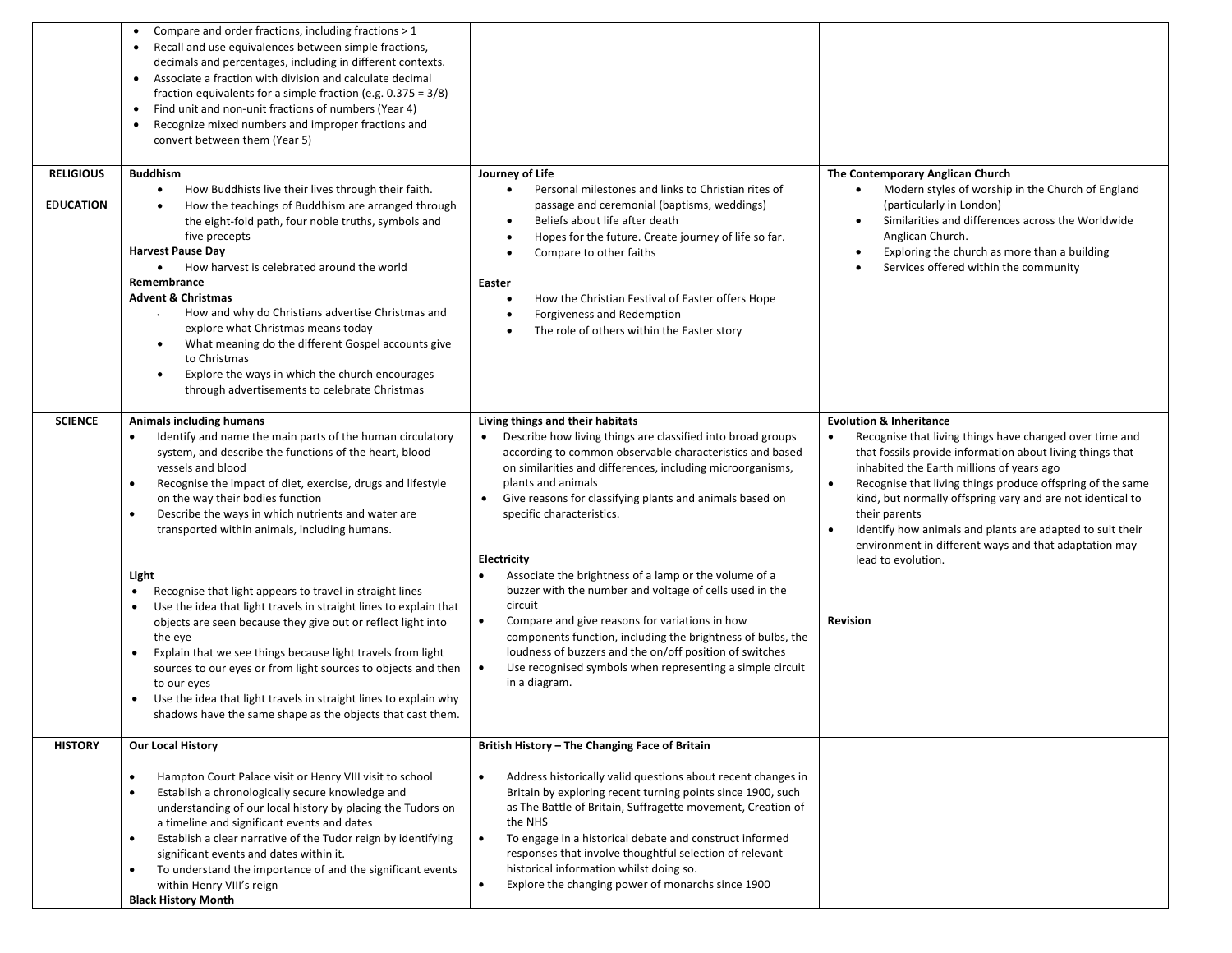|                                      | Compare and order fractions, including fractions > 1<br>٠<br>Recall and use equivalences between simple fractions,<br>$\bullet$<br>decimals and percentages, including in different contexts.<br>Associate a fraction with division and calculate decimal<br>$\bullet$<br>fraction equivalents for a simple fraction (e.g. $0.375 = 3/8$ )<br>Find unit and non-unit fractions of numbers (Year 4)<br>$\bullet$<br>Recognize mixed numbers and improper fractions and<br>$\bullet$<br>convert between them (Year 5)                                                                                                                             |                                                                                                                                                                                                                                                                                                                                                                                                                                                                                        |                                                                                                                                                                                                                                                                                                                                                                                                                                                                                                                            |
|--------------------------------------|-------------------------------------------------------------------------------------------------------------------------------------------------------------------------------------------------------------------------------------------------------------------------------------------------------------------------------------------------------------------------------------------------------------------------------------------------------------------------------------------------------------------------------------------------------------------------------------------------------------------------------------------------|----------------------------------------------------------------------------------------------------------------------------------------------------------------------------------------------------------------------------------------------------------------------------------------------------------------------------------------------------------------------------------------------------------------------------------------------------------------------------------------|----------------------------------------------------------------------------------------------------------------------------------------------------------------------------------------------------------------------------------------------------------------------------------------------------------------------------------------------------------------------------------------------------------------------------------------------------------------------------------------------------------------------------|
| <b>RELIGIOUS</b><br><b>EDUCATION</b> | <b>Buddhism</b><br>How Buddhists live their lives through their faith.<br>$\bullet$<br>How the teachings of Buddhism are arranged through<br>the eight-fold path, four noble truths, symbols and<br>five precepts<br><b>Harvest Pause Day</b><br>How harvest is celebrated around the world<br>$\bullet$<br>Remembrance<br><b>Advent &amp; Christmas</b><br>How and why do Christians advertise Christmas and<br>explore what Christmas means today<br>What meaning do the different Gospel accounts give<br>٠<br>to Christmas<br>Explore the ways in which the church encourages<br>$\bullet$<br>through advertisements to celebrate Christmas | Journey of Life<br>Personal milestones and links to Christian rites of<br>$\bullet$<br>passage and ceremonial (baptisms, weddings)<br>Beliefs about life after death<br>٠<br>Hopes for the future. Create journey of life so far.<br>$\bullet$<br>Compare to other faiths<br>$\bullet$<br>Easter<br>How the Christian Festival of Easter offers Hope<br>$\bullet$<br>Forgiveness and Redemption<br>$\bullet$<br>The role of others within the Easter story<br>$\bullet$                | The Contemporary Anglican Church<br>Modern styles of worship in the Church of England<br>$\bullet$<br>(particularly in London)<br>Similarities and differences across the Worldwide<br>٠<br>Anglican Church.<br>Exploring the church as more than a building<br>Services offered within the community                                                                                                                                                                                                                      |
| <b>SCIENCE</b>                       | <b>Animals including humans</b><br>Identify and name the main parts of the human circulatory<br>system, and describe the functions of the heart, blood<br>vessels and blood<br>Recognise the impact of diet, exercise, drugs and lifestyle<br>$\bullet$<br>on the way their bodies function<br>Describe the ways in which nutrients and water are<br>$\bullet$<br>transported within animals, including humans.<br>Light<br>Recognise that light appears to travel in straight lines<br>$\bullet$<br>Use the idea that light travels in straight lines to explain that                                                                          | Living things and their habitats<br>Describe how living things are classified into broad groups<br>according to common observable characteristics and based<br>on similarities and differences, including microorganisms,<br>plants and animals<br>Give reasons for classifying plants and animals based on<br>specific characteristics.<br>Electricity<br>Associate the brightness of a lamp or the volume of a<br>buzzer with the number and voltage of cells used in the<br>circuit | <b>Evolution &amp; Inheritance</b><br>Recognise that living things have changed over time and<br>that fossils provide information about living things that<br>inhabited the Earth millions of years ago<br>Recognise that living things produce offspring of the same<br>$\bullet$<br>kind, but normally offspring vary and are not identical to<br>their parents<br>Identify how animals and plants are adapted to suit their<br>$\bullet$<br>environment in different ways and that adaptation may<br>lead to evolution. |
|                                      | objects are seen because they give out or reflect light into<br>the eye<br>Explain that we see things because light travels from light<br>sources to our eyes or from light sources to objects and then<br>to our eyes<br>Use the idea that light travels in straight lines to explain why<br>$\bullet$<br>shadows have the same shape as the objects that cast them.                                                                                                                                                                                                                                                                           | Compare and give reasons for variations in how<br>$\bullet$<br>components function, including the brightness of bulbs, the<br>loudness of buzzers and the on/off position of switches<br>Use recognised symbols when representing a simple circuit<br>in a diagram.                                                                                                                                                                                                                    | <b>Revision</b>                                                                                                                                                                                                                                                                                                                                                                                                                                                                                                            |
| <b>HISTORY</b>                       | <b>Our Local History</b>                                                                                                                                                                                                                                                                                                                                                                                                                                                                                                                                                                                                                        | British History - The Changing Face of Britain                                                                                                                                                                                                                                                                                                                                                                                                                                         |                                                                                                                                                                                                                                                                                                                                                                                                                                                                                                                            |
|                                      | Hampton Court Palace visit or Henry VIII visit to school<br>$\bullet$<br>Establish a chronologically secure knowledge and<br>$\bullet$<br>understanding of our local history by placing the Tudors on<br>a timeline and significant events and dates<br>Establish a clear narrative of the Tudor reign by identifying<br>$\bullet$<br>significant events and dates within it.<br>To understand the importance of and the significant events<br>$\bullet$<br>within Henry VIII's reign<br><b>Black History Month</b>                                                                                                                             | Address historically valid questions about recent changes in<br>$\bullet$<br>Britain by exploring recent turning points since 1900, such<br>as The Battle of Britain, Suffragette movement, Creation of<br>the NHS<br>To engage in a historical debate and construct informed<br>$\bullet$<br>responses that involve thoughtful selection of relevant<br>historical information whilst doing so.<br>Explore the changing power of monarchs since 1900                                  |                                                                                                                                                                                                                                                                                                                                                                                                                                                                                                                            |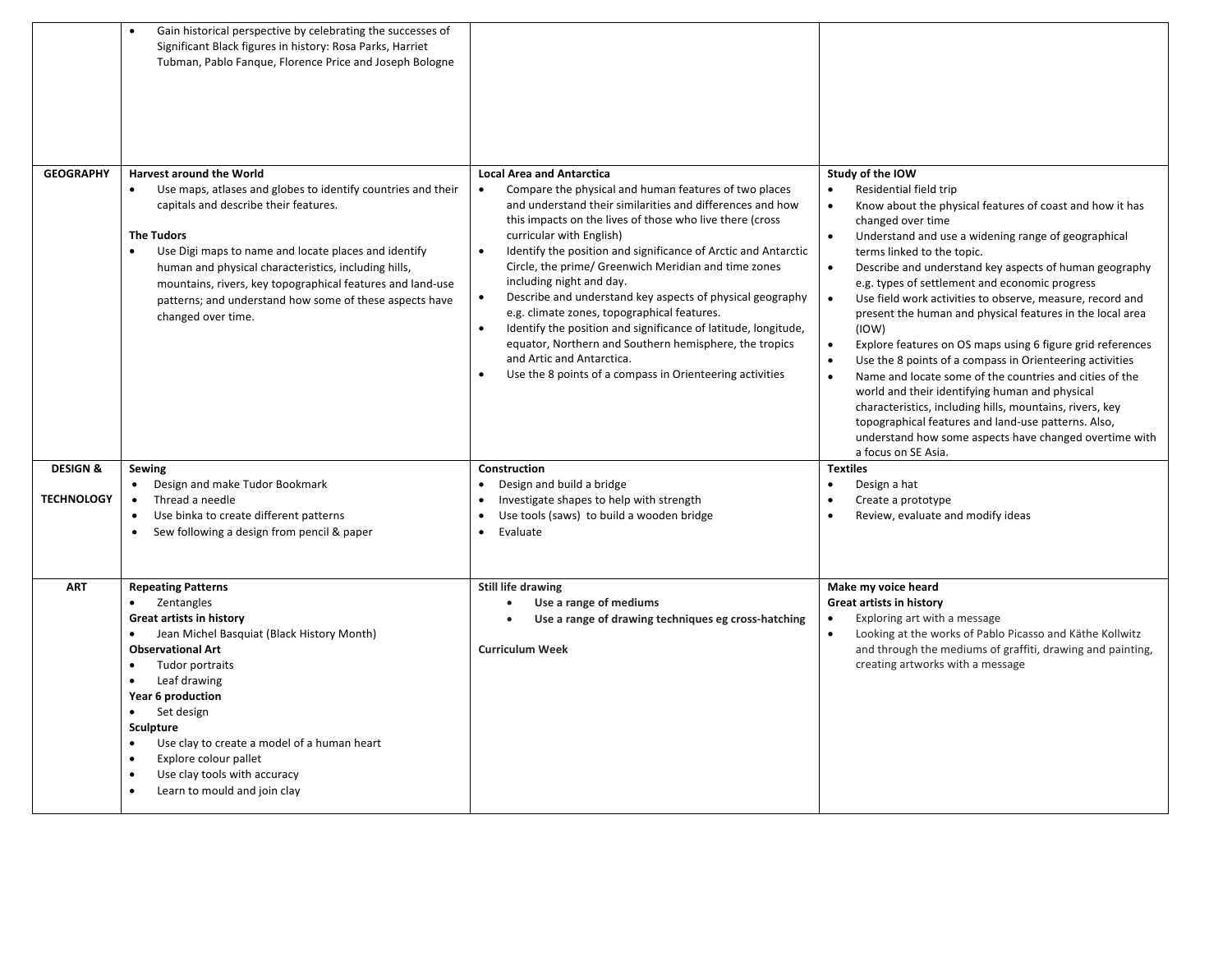|                                          | Gain historical perspective by celebrating the successes of<br>Significant Black figures in history: Rosa Parks, Harriet<br>Tubman, Pablo Fanque, Florence Price and Joseph Bologne                                                                                                                                                                                                                                                                                        |                                                                                                                                                                                                                                                                                                                                                                                                                                                                                                                                                                                                                                                                                                                                                                                                        |                                                                                                                                                                                                                                                                                                                                                                                                                                                                                                                                                                                                                                                                                                                                                                                                                                                                                                                                                                                                                    |
|------------------------------------------|----------------------------------------------------------------------------------------------------------------------------------------------------------------------------------------------------------------------------------------------------------------------------------------------------------------------------------------------------------------------------------------------------------------------------------------------------------------------------|--------------------------------------------------------------------------------------------------------------------------------------------------------------------------------------------------------------------------------------------------------------------------------------------------------------------------------------------------------------------------------------------------------------------------------------------------------------------------------------------------------------------------------------------------------------------------------------------------------------------------------------------------------------------------------------------------------------------------------------------------------------------------------------------------------|--------------------------------------------------------------------------------------------------------------------------------------------------------------------------------------------------------------------------------------------------------------------------------------------------------------------------------------------------------------------------------------------------------------------------------------------------------------------------------------------------------------------------------------------------------------------------------------------------------------------------------------------------------------------------------------------------------------------------------------------------------------------------------------------------------------------------------------------------------------------------------------------------------------------------------------------------------------------------------------------------------------------|
| <b>GEOGRAPHY</b>                         | <b>Harvest around the World</b><br>Use maps, atlases and globes to identify countries and their<br>$\bullet$<br>capitals and describe their features.<br><b>The Tudors</b><br>$\bullet$<br>Use Digi maps to name and locate places and identify<br>human and physical characteristics, including hills,<br>mountains, rivers, key topographical features and land-use<br>patterns; and understand how some of these aspects have<br>changed over time.                     | <b>Local Area and Antarctica</b><br>Compare the physical and human features of two places<br>$\bullet$<br>and understand their similarities and differences and how<br>this impacts on the lives of those who live there (cross<br>curricular with English)<br>$\bullet$<br>Identify the position and significance of Arctic and Antarctic<br>Circle, the prime/ Greenwich Meridian and time zones<br>including night and day.<br>Describe and understand key aspects of physical geography<br>$\bullet$<br>e.g. climate zones, topographical features.<br>$\bullet$<br>Identify the position and significance of latitude, longitude,<br>equator, Northern and Southern hemisphere, the tropics<br>and Artic and Antarctica.<br>Use the 8 points of a compass in Orienteering activities<br>$\bullet$ | Study of the IOW<br>Residential field trip<br>$\bullet$<br>Know about the physical features of coast and how it has<br>$\bullet$<br>changed over time<br>Understand and use a widening range of geographical<br>$\bullet$<br>terms linked to the topic.<br>Describe and understand key aspects of human geography<br>$\bullet$<br>e.g. types of settlement and economic progress<br>Use field work activities to observe, measure, record and<br>$\bullet$<br>present the human and physical features in the local area<br>(10W)<br>Explore features on OS maps using 6 figure grid references<br>$\bullet$<br>Use the 8 points of a compass in Orienteering activities<br>$\bullet$<br>Name and locate some of the countries and cities of the<br>$\bullet$<br>world and their identifying human and physical<br>characteristics, including hills, mountains, rivers, key<br>topographical features and land-use patterns. Also,<br>understand how some aspects have changed overtime with<br>a focus on SE Asia. |
| <b>DESIGN &amp;</b><br><b>TECHNOLOGY</b> | Sewing<br>• Design and make Tudor Bookmark<br>Thread a needle<br>Use binka to create different patterns<br>$\bullet$<br>Sew following a design from pencil & paper                                                                                                                                                                                                                                                                                                         | <b>Construction</b><br>Design and build a bridge<br>$\bullet$<br>Investigate shapes to help with strength<br>$\bullet$<br>Use tools (saws) to build a wooden bridge<br>Evaluate<br>$\bullet$                                                                                                                                                                                                                                                                                                                                                                                                                                                                                                                                                                                                           | <b>Textiles</b><br>Design a hat<br>$\bullet$<br>Create a prototype<br>Review, evaluate and modify ideas<br>$\bullet$                                                                                                                                                                                                                                                                                                                                                                                                                                                                                                                                                                                                                                                                                                                                                                                                                                                                                               |
| <b>ART</b>                               | <b>Repeating Patterns</b><br>Zentangles<br>$\bullet$<br><b>Great artists in history</b><br>Jean Michel Basquiat (Black History Month)<br>$\bullet$<br><b>Observational Art</b><br>Tudor portraits<br>$\bullet$<br>Leaf drawing<br>$\bullet$<br>Year 6 production<br>Set design<br>Sculpture<br>Use clay to create a model of a human heart<br>Explore colour pallet<br>$\bullet$<br>Use clay tools with accuracy<br>$\bullet$<br>Learn to mould and join clay<br>$\bullet$ | Still life drawing<br>Use a range of mediums<br>Use a range of drawing techniques eg cross-hatching<br><b>Curriculum Week</b>                                                                                                                                                                                                                                                                                                                                                                                                                                                                                                                                                                                                                                                                          | Make my voice heard<br>Great artists in history<br>Exploring art with a message<br>$\bullet$<br>Looking at the works of Pablo Picasso and Käthe Kollwitz<br>$\bullet$<br>and through the mediums of graffiti, drawing and painting,<br>creating artworks with a message                                                                                                                                                                                                                                                                                                                                                                                                                                                                                                                                                                                                                                                                                                                                            |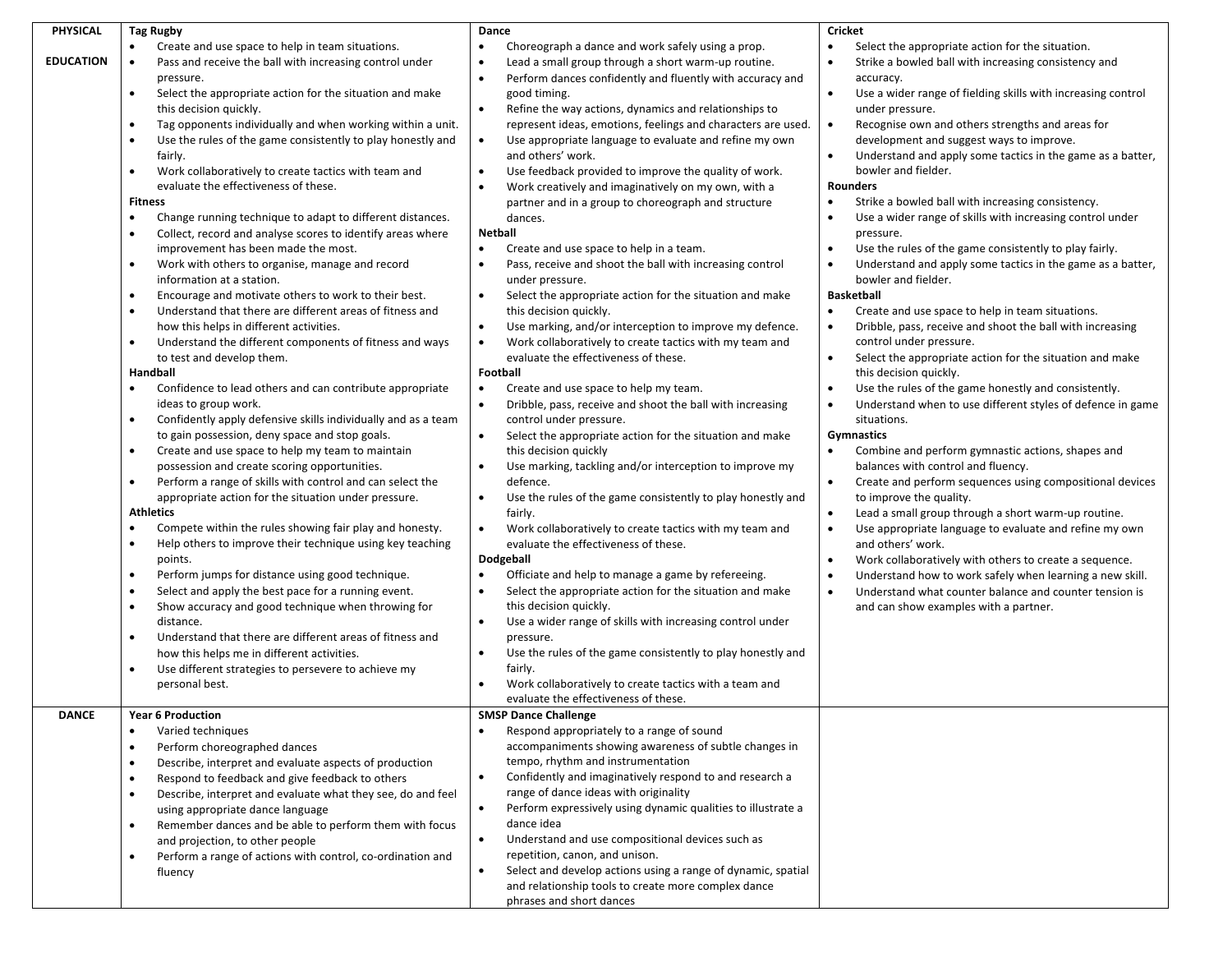| PHYSICAL         | <b>Tag Rugby</b>                                                         | Dance                                                                                           | Cricket                                                                   |
|------------------|--------------------------------------------------------------------------|-------------------------------------------------------------------------------------------------|---------------------------------------------------------------------------|
|                  | Create and use space to help in team situations.<br>$\bullet$            | Choreograph a dance and work safely using a prop.                                               | Select the appropriate action for the situation.<br>$\bullet$             |
| <b>EDUCATION</b> | $\bullet$<br>Pass and receive the ball with increasing control under     | Lead a small group through a short warm-up routine.<br>$\bullet$                                | Strike a bowled ball with increasing consistency and<br>$\bullet$         |
|                  | pressure.                                                                | Perform dances confidently and fluently with accuracy and<br>$\bullet$                          | accuracy.                                                                 |
|                  | Select the appropriate action for the situation and make<br>$\bullet$    | good timing.                                                                                    | $\bullet$<br>Use a wider range of fielding skills with increasing control |
|                  | this decision quickly.                                                   | Refine the way actions, dynamics and relationships to<br>$\bullet$                              | under pressure.                                                           |
|                  | Tag opponents individually and when working within a unit.<br>٠          | represent ideas, emotions, feelings and characters are used.                                    | $\bullet$<br>Recognise own and others strengths and areas for             |
|                  |                                                                          |                                                                                                 |                                                                           |
|                  | Use the rules of the game consistently to play honestly and<br>$\bullet$ | Use appropriate language to evaluate and refine my own<br>$\bullet$                             | development and suggest ways to improve.                                  |
|                  | fairly.                                                                  | and others' work.                                                                               | Understand and apply some tactics in the game as a batter,<br>$\bullet$   |
|                  | Work collaboratively to create tactics with team and                     | Use feedback provided to improve the quality of work.<br>$\bullet$                              | bowler and fielder.                                                       |
|                  | evaluate the effectiveness of these.                                     | Work creatively and imaginatively on my own, with a                                             | Rounders                                                                  |
|                  | <b>Fitness</b>                                                           | partner and in a group to choreograph and structure                                             | Strike a bowled ball with increasing consistency.<br>$\bullet$            |
|                  | Change running technique to adapt to different distances.                | dances.                                                                                         | Use a wider range of skills with increasing control under                 |
|                  | Collect, record and analyse scores to identify areas where               | Netball                                                                                         | pressure.                                                                 |
|                  | improvement has been made the most.                                      | $\bullet$<br>Create and use space to help in a team.                                            | Use the rules of the game consistently to play fairly.<br>$\bullet$       |
|                  | Work with others to organise, manage and record<br>٠                     | Pass, receive and shoot the ball with increasing control<br>$\bullet$                           | Understand and apply some tactics in the game as a batter,<br>$\bullet$   |
|                  | information at a station.                                                | under pressure.                                                                                 | bowler and fielder.                                                       |
|                  | Encourage and motivate others to work to their best.<br>$\bullet$        | Select the appropriate action for the situation and make<br>$\bullet$                           | <b>Basketball</b>                                                         |
|                  | Understand that there are different areas of fitness and                 | this decision quickly.                                                                          | Create and use space to help in team situations.<br>$\bullet$             |
|                  | how this helps in different activities.                                  | Use marking, and/or interception to improve my defence.<br>$\bullet$                            | Dribble, pass, receive and shoot the ball with increasing<br>$\bullet$    |
|                  | Understand the different components of fitness and ways<br>٠             | Work collaboratively to create tactics with my team and<br>$\bullet$                            | control under pressure.                                                   |
|                  | to test and develop them.                                                | evaluate the effectiveness of these.                                                            | Select the appropriate action for the situation and make<br>$\bullet$     |
|                  | Handball                                                                 | Football                                                                                        | this decision quickly.                                                    |
|                  | Confidence to lead others and can contribute appropriate<br>$\bullet$    | Create and use space to help my team.<br>$\bullet$                                              | Use the rules of the game honestly and consistently.<br>$\bullet$         |
|                  | ideas to group work.                                                     | Dribble, pass, receive and shoot the ball with increasing<br>$\bullet$                          | Understand when to use different styles of defence in game<br>$\bullet$   |
|                  | Confidently apply defensive skills individually and as a team<br>٠       | control under pressure.                                                                         | situations.                                                               |
|                  | to gain possession, deny space and stop goals.                           | Select the appropriate action for the situation and make                                        | <b>Gymnastics</b>                                                         |
|                  | Create and use space to help my team to maintain                         | this decision quickly                                                                           | Combine and perform gymnastic actions, shapes and                         |
|                  | possession and create scoring opportunities.                             | Use marking, tackling and/or interception to improve my<br>$\bullet$                            | balances with control and fluency.                                        |
|                  | Perform a range of skills with control and can select the<br>$\bullet$   | defence.                                                                                        | Create and perform sequences using compositional devices<br>$\bullet$     |
|                  | appropriate action for the situation under pressure.                     | Use the rules of the game consistently to play honestly and<br>$\bullet$                        | to improve the quality.                                                   |
|                  | <b>Athletics</b>                                                         | fairly.                                                                                         | Lead a small group through a short warm-up routine.<br>$\bullet$          |
|                  | Compete within the rules showing fair play and honesty.<br>$\bullet$     | $\bullet$                                                                                       | $\bullet$<br>Use appropriate language to evaluate and refine my own       |
|                  | Help others to improve their technique using key teaching<br>٠           | Work collaboratively to create tactics with my team and<br>evaluate the effectiveness of these. | and others' work.                                                         |
|                  |                                                                          |                                                                                                 |                                                                           |
|                  | points.                                                                  | Dodgeball<br>$\bullet$                                                                          | Work collaboratively with others to create a sequence.<br>$\bullet$       |
|                  | Perform jumps for distance using good technique.<br>$\bullet$            | Officiate and help to manage a game by refereeing.                                              | Understand how to work safely when learning a new skill.<br>$\bullet$     |
|                  | Select and apply the best pace for a running event.<br>٠                 | Select the appropriate action for the situation and make                                        | Understand what counter balance and counter tension is<br>$\bullet$       |
|                  | Show accuracy and good technique when throwing for<br>٠                  | this decision quickly.                                                                          | and can show examples with a partner.                                     |
|                  | distance.                                                                | Use a wider range of skills with increasing control under<br>$\bullet$                          |                                                                           |
|                  | Understand that there are different areas of fitness and                 | pressure.                                                                                       |                                                                           |
|                  | how this helps me in different activities.                               | Use the rules of the game consistently to play honestly and<br>$\bullet$                        |                                                                           |
|                  | Use different strategies to persevere to achieve my<br>$\bullet$         | fairly.                                                                                         |                                                                           |
|                  | personal best.                                                           | Work collaboratively to create tactics with a team and<br>$\bullet$                             |                                                                           |
|                  |                                                                          | evaluate the effectiveness of these.                                                            |                                                                           |
| DANCE            | <b>Year 6 Production</b>                                                 | <b>SMSP Dance Challenge</b>                                                                     |                                                                           |
|                  | Varied techniques<br>٠                                                   | Respond appropriately to a range of sound                                                       |                                                                           |
|                  | Perform choreographed dances<br>$\bullet$                                | accompaniments showing awareness of subtle changes in                                           |                                                                           |
|                  | Describe, interpret and evaluate aspects of production<br>٠              | tempo, rhythm and instrumentation                                                               |                                                                           |
|                  | Respond to feedback and give feedback to others<br>$\bullet$             | Confidently and imaginatively respond to and research a<br>$\bullet$                            |                                                                           |
|                  | Describe, interpret and evaluate what they see, do and feel              | range of dance ideas with originality                                                           |                                                                           |
|                  | using appropriate dance language                                         | Perform expressively using dynamic qualities to illustrate a<br>$\bullet$                       |                                                                           |
|                  | Remember dances and be able to perform them with focus<br>$\bullet$      | dance idea                                                                                      |                                                                           |
|                  | and projection, to other people                                          | Understand and use compositional devices such as<br>$\bullet$                                   |                                                                           |
|                  | Perform a range of actions with control, co-ordination and<br>٠          | repetition, canon, and unison.                                                                  |                                                                           |
|                  | fluency                                                                  | Select and develop actions using a range of dynamic, spatial<br>$\bullet$                       |                                                                           |
|                  |                                                                          | and relationship tools to create more complex dance                                             |                                                                           |
|                  |                                                                          | phrases and short dances                                                                        |                                                                           |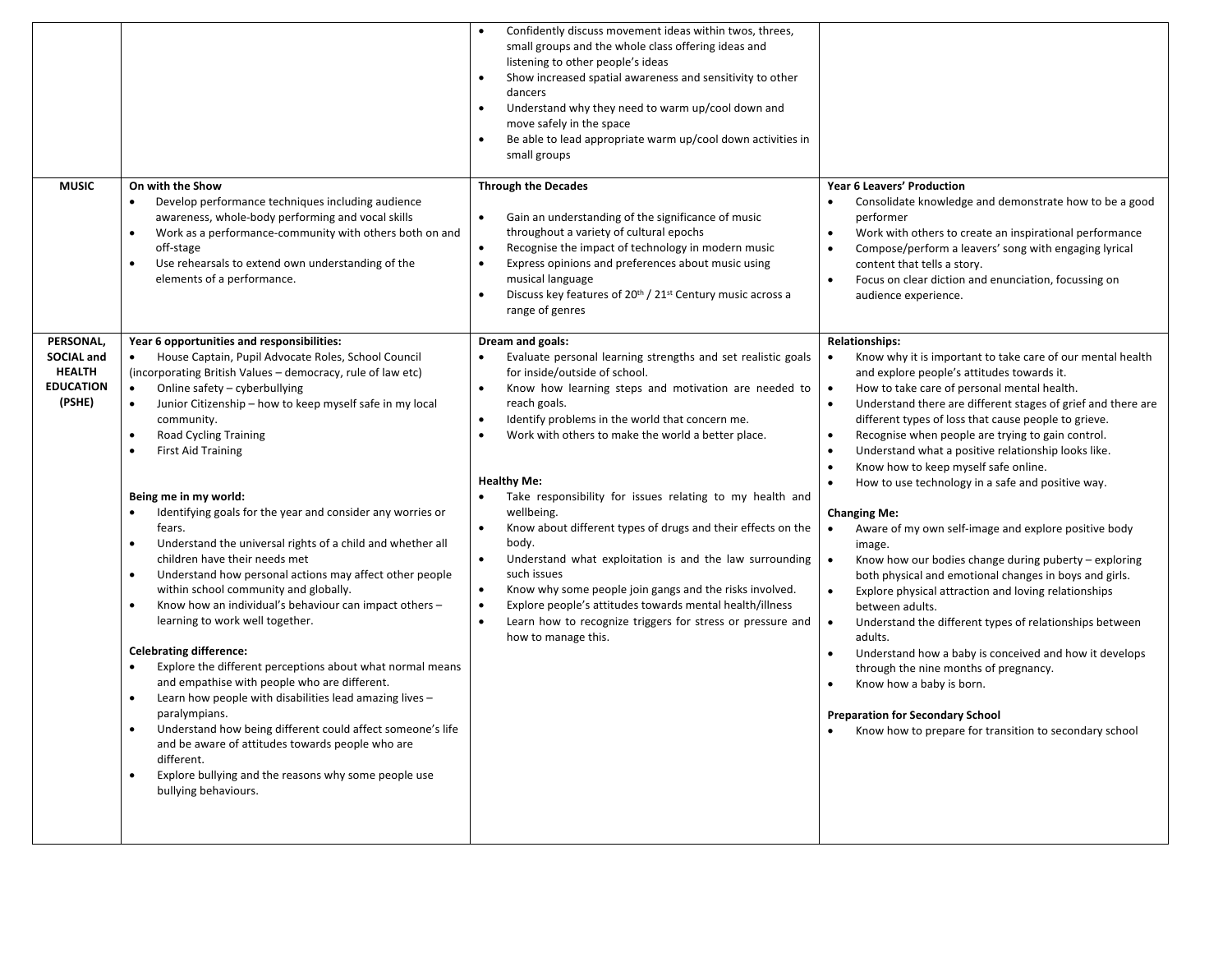|                                                                               |                                                                                                                                                                                                                                                                                                                                                                                                                                                                                                                                                                                                                                                                                                                                                                                                                                                                                                                                                                                                                                                                                                                                                                                                                                                                                                                | Confidently discuss movement ideas within twos, threes,<br>small groups and the whole class offering ideas and<br>listening to other people's ideas<br>Show increased spatial awareness and sensitivity to other<br>dancers<br>Understand why they need to warm up/cool down and<br>move safely in the space<br>Be able to lead appropriate warm up/cool down activities in<br>small groups                                                                                                                                                                                                                                                                                                                                                                                                                                                          |                                                                                                                                                                                                                                                                                                                                                                                                                                                                                                                                                                                                                                                                                                                                                                                                                                                                                                                                                                                                                                                                                                                                                                                                                                                      |
|-------------------------------------------------------------------------------|----------------------------------------------------------------------------------------------------------------------------------------------------------------------------------------------------------------------------------------------------------------------------------------------------------------------------------------------------------------------------------------------------------------------------------------------------------------------------------------------------------------------------------------------------------------------------------------------------------------------------------------------------------------------------------------------------------------------------------------------------------------------------------------------------------------------------------------------------------------------------------------------------------------------------------------------------------------------------------------------------------------------------------------------------------------------------------------------------------------------------------------------------------------------------------------------------------------------------------------------------------------------------------------------------------------|------------------------------------------------------------------------------------------------------------------------------------------------------------------------------------------------------------------------------------------------------------------------------------------------------------------------------------------------------------------------------------------------------------------------------------------------------------------------------------------------------------------------------------------------------------------------------------------------------------------------------------------------------------------------------------------------------------------------------------------------------------------------------------------------------------------------------------------------------|------------------------------------------------------------------------------------------------------------------------------------------------------------------------------------------------------------------------------------------------------------------------------------------------------------------------------------------------------------------------------------------------------------------------------------------------------------------------------------------------------------------------------------------------------------------------------------------------------------------------------------------------------------------------------------------------------------------------------------------------------------------------------------------------------------------------------------------------------------------------------------------------------------------------------------------------------------------------------------------------------------------------------------------------------------------------------------------------------------------------------------------------------------------------------------------------------------------------------------------------------|
| <b>MUSIC</b>                                                                  | On with the Show<br>Develop performance techniques including audience<br>$\bullet$<br>awareness, whole-body performing and vocal skills<br>Work as a performance-community with others both on and<br>$\bullet$<br>off-stage<br>Use rehearsals to extend own understanding of the<br>$\bullet$<br>elements of a performance.                                                                                                                                                                                                                                                                                                                                                                                                                                                                                                                                                                                                                                                                                                                                                                                                                                                                                                                                                                                   | <b>Through the Decades</b><br>Gain an understanding of the significance of music<br>$\bullet$<br>throughout a variety of cultural epochs<br>Recognise the impact of technology in modern music<br>$\bullet$<br>Express opinions and preferences about music using<br>$\bullet$<br>musical language<br>Discuss key features of 20th / 21st Century music across a<br>$\bullet$<br>range of genres                                                                                                                                                                                                                                                                                                                                                                                                                                                     | Year 6 Leavers' Production<br>Consolidate knowledge and demonstrate how to be a good<br>performer<br>Work with others to create an inspirational performance<br>$\bullet$<br>Compose/perform a leavers' song with engaging lyrical<br>$\bullet$<br>content that tells a story.<br>Focus on clear diction and enunciation, focussing on<br>$\bullet$<br>audience experience.                                                                                                                                                                                                                                                                                                                                                                                                                                                                                                                                                                                                                                                                                                                                                                                                                                                                          |
| PERSONAL,<br><b>SOCIAL and</b><br><b>HEALTH</b><br><b>EDUCATION</b><br>(PSHE) | Year 6 opportunities and responsibilities:<br>House Captain, Pupil Advocate Roles, School Council<br>$\bullet$<br>(incorporating British Values - democracy, rule of law etc)<br>Online safety - cyberbullying<br>$\bullet$<br>Junior Citizenship - how to keep myself safe in my local<br>$\bullet$<br>community.<br><b>Road Cycling Training</b><br>$\bullet$<br><b>First Aid Training</b><br>$\bullet$<br>Being me in my world:<br>Identifying goals for the year and consider any worries or<br>fears.<br>Understand the universal rights of a child and whether all<br>$\bullet$<br>children have their needs met<br>Understand how personal actions may affect other people<br>$\bullet$<br>within school community and globally.<br>Know how an individual's behaviour can impact others -<br>٠<br>learning to work well together.<br><b>Celebrating difference:</b><br>Explore the different perceptions about what normal means<br>and empathise with people who are different.<br>Learn how people with disabilities lead amazing lives -<br>$\bullet$<br>paralympians.<br>Understand how being different could affect someone's life<br>and be aware of attitudes towards people who are<br>different.<br>Explore bullying and the reasons why some people use<br>$\bullet$<br>bullying behaviours. | Dream and goals:<br>Evaluate personal learning strengths and set realistic goals<br>$\bullet$<br>for inside/outside of school.<br>Know how learning steps and motivation are needed to<br>$\bullet$<br>reach goals.<br>Identify problems in the world that concern me.<br>٠<br>Work with others to make the world a better place.<br>$\bullet$<br><b>Healthy Me:</b><br>Take responsibility for issues relating to my health and<br>wellbeing.<br>Know about different types of drugs and their effects on the<br>$\bullet$<br>body.<br>Understand what exploitation is and the law surrounding<br>$\bullet$<br>such issues<br>Know why some people join gangs and the risks involved.<br>Explore people's attitudes towards mental health/illness<br>Learn how to recognize triggers for stress or pressure and<br>$\bullet$<br>how to manage this. | <b>Relationships:</b><br>Know why it is important to take care of our mental health<br>and explore people's attitudes towards it.<br>How to take care of personal mental health.<br>$\bullet$<br>Understand there are different stages of grief and there are<br>$\bullet$<br>different types of loss that cause people to grieve.<br>Recognise when people are trying to gain control.<br>$\bullet$<br>Understand what a positive relationship looks like.<br>$\bullet$<br>Know how to keep myself safe online.<br>$\bullet$<br>How to use technology in a safe and positive way.<br><b>Changing Me:</b><br>Aware of my own self-image and explore positive body<br>$\bullet$<br>image.<br>Know how our bodies change during puberty – exploring<br>$\bullet$<br>both physical and emotional changes in boys and girls.<br>Explore physical attraction and loving relationships<br>$\bullet$<br>between adults.<br>Understand the different types of relationships between<br>$\bullet$<br>adults.<br>Understand how a baby is conceived and how it develops<br>$\bullet$<br>through the nine months of pregnancy.<br>Know how a baby is born.<br><b>Preparation for Secondary School</b><br>Know how to prepare for transition to secondary school |